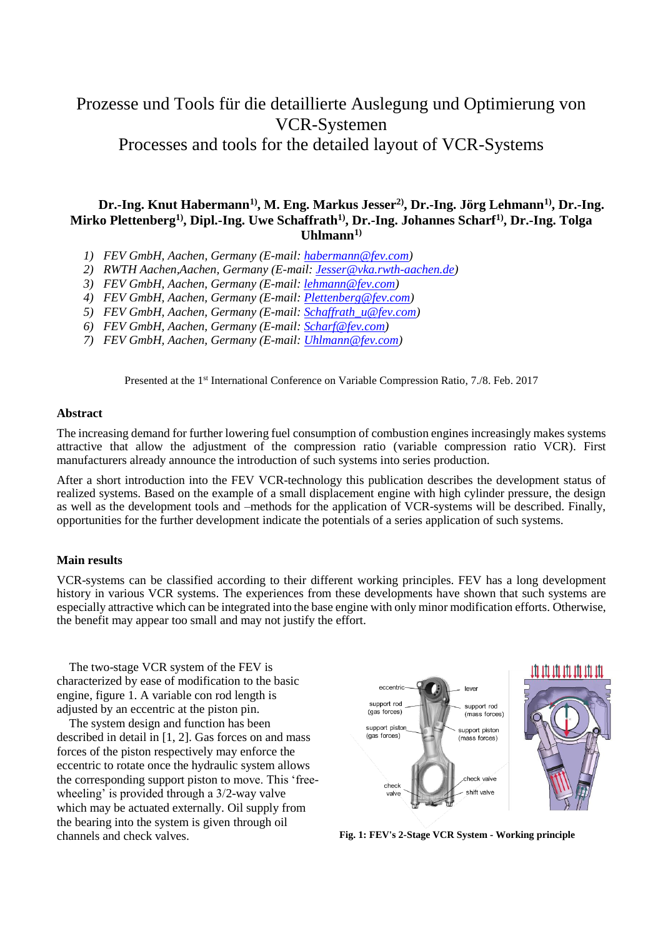# Prozesse und Tools für die detaillierte Auslegung und Optimierung von VCR-Systemen Processes and tools for the detailed layout of VCR-Systems

# **Dr.-Ing. Knut Habermann1), M. Eng. Markus Jesser2) , Dr.-Ing. Jörg Lehmann1), Dr.-Ing. Mirko Plettenberg1), Dipl.-Ing. Uwe Schaffrath1), Dr.-Ing. Johannes Scharf1), Dr.-Ing. Tolga Uhlmann1)**

- *1) FEV GmbH, Aachen, Germany (E-mail: [habermann@fev.com\)](mailto:habermann@fev.com)*
- *2) RWTH Aachen,Aachen, Germany (E-mail[: Jesser@vka.rwth-aachen.de\)](mailto:Jesser@vka.rwth-aachen.de)*
- *3) FEV GmbH, Aachen, Germany (E-mail: [lehmann@fev.com\)](mailto:lehmann@fev.com)*
- *4) FEV GmbH, Aachen, Germany (E-mail: [Plettenberg@fev.com\)](mailto:Plettenberg@fev.com)*
- *5) FEV GmbH, Aachen, Germany (E-mail: [Schaffrath\\_u@fev.com\)](mailto:Schaffrath_u@fev.com)*
- *6) FEV GmbH, Aachen, Germany (E-mail: [Scharf@fev.com\)](mailto:Scharf@fev.com)*
- *7) FEV GmbH, Aachen, Germany (E-mail: [Uhlmann@fev.com\)](mailto:Uhlmann@fev.com)*

Presented at the 1<sup>st</sup> International Conference on Variable Compression Ratio, 7./8. Feb. 2017

# **Abstract**

The increasing demand for further lowering fuel consumption of combustion engines increasingly makes systems attractive that allow the adjustment of the compression ratio (variable compression ratio VCR). First manufacturers already announce the introduction of such systems into series production.

After a short introduction into the FEV VCR-technology this publication describes the development status of realized systems. Based on the example of a small displacement engine with high cylinder pressure, the design as well as the development tools and –methods for the application of VCR-systems will be described. Finally, opportunities for the further development indicate the potentials of a series application of such systems.

#### **Main results**

VCR-systems can be classified according to their different working principles. FEV has a long development history in various VCR systems. The experiences from these developments have shown that such systems are especially attractive which can be integrated into the base engine with only minor modification efforts. Otherwise, the benefit may appear too small and may not justify the effort.

The two-stage VCR system of the FEV is characterized by ease of modification to the basic engine, figure 1. A variable con rod length is adjusted by an eccentric at the piston pin.

The system design and function has been described in detail in [1, 2]. Gas forces on and mass forces of the piston respectively may enforce the eccentric to rotate once the hydraulic system allows the corresponding support piston to move. This 'freewheeling' is provided through a 3/2-way valve which may be actuated externally. Oil supply from the bearing into the system is given through oil<br>channels and check valves.



Fig. 1: FEV's 2-Stage VCR System - Working principle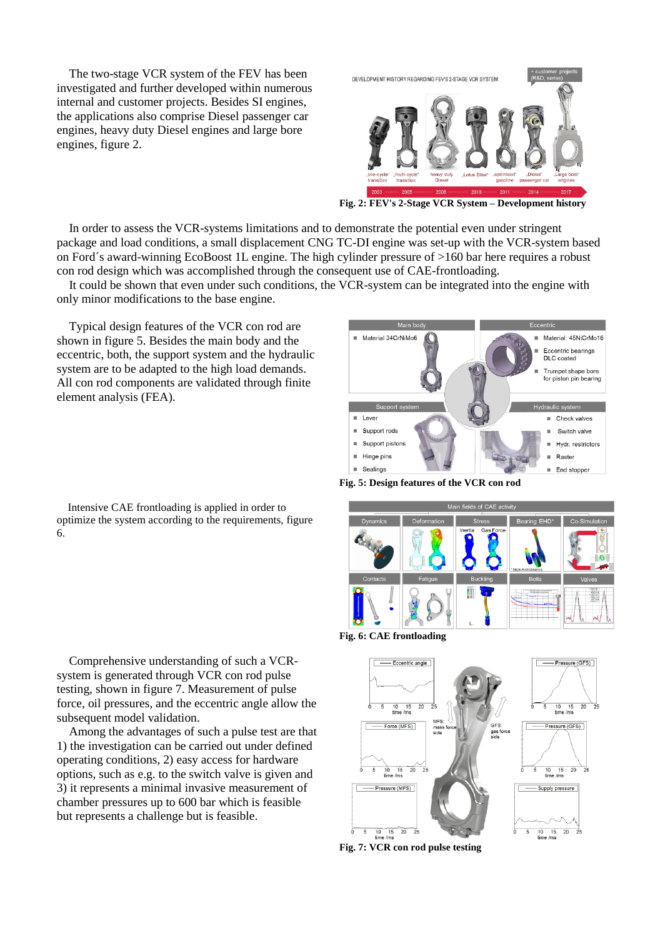The two-stage VCR system of the FEV has been investigated and further developed within numerous internal and customer projects. Besides SI engines, the applications also comprise Diesel passenger car engines, heavy duty Diesel engines and large bore engines, figure 2.



**Fig. 2: FEV's 2-Stage VCR System – Development history**

In order to assess the VCR-systems limitations and to demonstrate the potential even under stringent package and load conditions, a small displacement CNG TC-DI engine was set-up with the VCR-system based on Ford´s award-winning EcoBoost 1L engine. The high cylinder pressure of >160 bar here requires a robust con rod design which was accomplished through the consequent use of CAE-frontloading.

It could be shown that even under such conditions, the VCR-system can be integrated into the engine with only minor modifications to the base engine.

Typical design features of the VCR con rod are shown in figure 5. Besides the main body and the eccentric, both, the support system and the hydraulic system are to be adapted to the high load demands. All con rod components are validated through finite element analysis (FEA).

optimize the system according to the requirements, figure 6.

Intensive CAE frontloading is applied in order to

Comprehensive understanding of such a VCRsystem is generated through VCR con rod pulse testing, shown in figure 7. Measurement of pulse force, oil pressures, and the eccentric angle allow the subsequent model validation.

Among the advantages of such a pulse test are that 1) the investigation can be carried out under defined operating conditions, 2) easy access for hardware options, such as e.g. to the switch valve is given and 3) it represents a minimal invasive measurement of chamber pressures up to 600 bar which is feasible but represents a challenge but is feasible.



**Fig. 5: Design features of the VCR con rod**



**Fig. 6: CAE frontloading**



**Fig. 7: VCR con rod pulse testing**